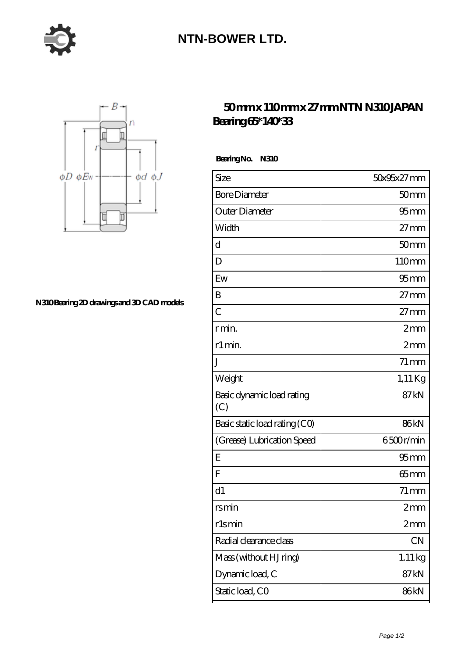

## **[NTN-BOWER LTD.](https://m.moreymansion.com)**



**[N310 Bearing 2D drawings and 3D CAD models](https://m.moreymansion.com/pic-306313.html)**

## **[50 mm x 110 mm x 27 mm NTN N310 JAPAN](https://m.moreymansion.com/ar-306313-ntn-n310-japan-bearing-65-140-33.html) [Bearing 65\\*140\\*33](https://m.moreymansion.com/ar-306313-ntn-n310-japan-bearing-65-140-33.html)**

Bearing No. N310

| Size                             | 50x95x27mm          |
|----------------------------------|---------------------|
| <b>Bore Diameter</b>             | 50 <sub>mm</sub>    |
| Outer Diameter                   | 95 <sub>mm</sub>    |
| Width                            | $27 \text{mm}$      |
| d                                | 50 <sub>mm</sub>    |
| D                                | 110mm               |
| Ew                               | $95$ mm             |
| B                                | $27 \text{mm}$      |
| $\overline{C}$                   | $27 \text{mm}$      |
| r min.                           | 2mm                 |
| r1 min.                          | 2mm                 |
| J                                | $71 \,\mathrm{mm}$  |
| Weight                           | $1,11$ Kg           |
| Basic dynamic load rating<br>(C) | 87 <sub>kN</sub>    |
| Basic static load rating (CO)    | 86kN                |
| (Grease) Lubrication Speed       | 6500r/min           |
| E                                | 95 <sub>mm</sub>    |
| F                                | $65 \text{mm}$      |
| d1                               | $71 \,\mathrm{mm}$  |
| rsmin                            | 2mm                 |
| rlsmin                           | 2mm                 |
| Radial clearance class           | CN                  |
| Mass (without HJ ring)           | $1.11\,\mathrm{kg}$ |
| Dynamic load, C                  | 87 <sub>kN</sub>    |
| Static load, CO                  | 86kN                |
|                                  |                     |